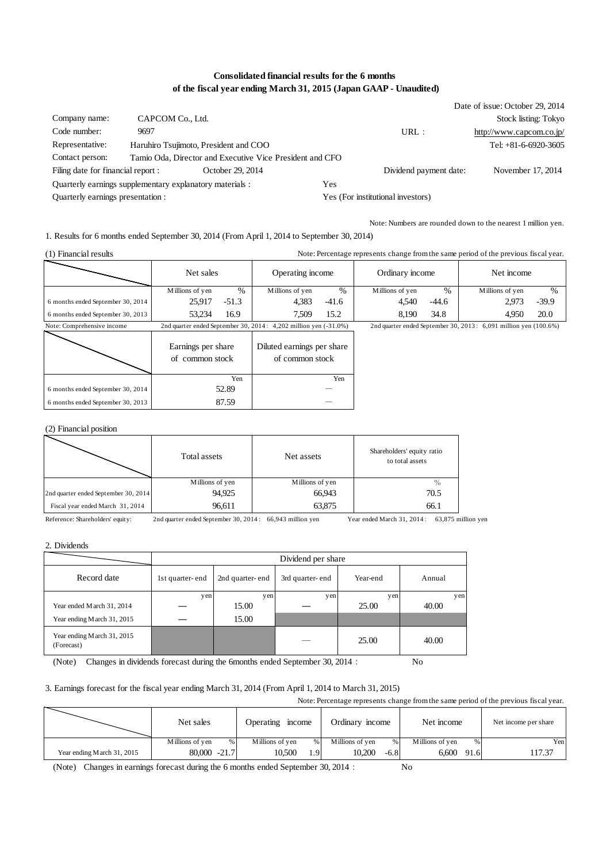# **Consolidated financial results for the 6 months of the fiscal year ending March 31, 2015 (Japan GAAP - Unaudited)**

|                                                          |                  |                                                          |     |                                   | Date of issue: October 29, 2014 |
|----------------------------------------------------------|------------------|----------------------------------------------------------|-----|-----------------------------------|---------------------------------|
| Company name:                                            | CAPCOM Co., Ltd. |                                                          |     |                                   | Stock listing: Tokyo            |
| Code number:                                             | 9697             |                                                          |     | URL:                              | http://www.capcom.co.jp/        |
| Representative:                                          |                  | Haruhiro Tsujimoto, President and COO                    |     |                                   | Tel: +81-6-6920-3605            |
| Contact person:                                          |                  | Tamio Oda, Director and Executive Vice President and CFO |     |                                   |                                 |
| Filing date for financial report :                       |                  | October 29, 2014                                         |     | Dividend payment date:            | November 17, 2014               |
| Ouarterly earnings supplementary explanatory materials : |                  |                                                          | Yes |                                   |                                 |
| Quarterly earnings presentation :                        |                  |                                                          |     | Yes (For institutional investors) |                                 |

Note: Numbers are rounded down to the nearest 1 million yen.

1. Results for 6 months ended September 30, 2014 (From April 1, 2014 to September 30, 2014)

| (1) Financial results             | Note: Percentage represents change from the same period of the previous fiscal year. |         |                                                                       |         |                 |         |                                                                    |         |
|-----------------------------------|--------------------------------------------------------------------------------------|---------|-----------------------------------------------------------------------|---------|-----------------|---------|--------------------------------------------------------------------|---------|
|                                   | Net sales                                                                            |         | Operating income                                                      |         | Ordinary income |         | Net income                                                         |         |
|                                   | Millions of yen                                                                      | $\%$    | Millions of ven                                                       | $\%$    | Millions of yen | %       | Millions of yen                                                    | $\%$    |
| 6 months ended September 30, 2014 | 25.917                                                                               | $-51.3$ | 4.383                                                                 | $-41.6$ | 4.540           | $-44.6$ | 2.973                                                              | $-39.9$ |
| 6 months ended September 30, 2013 | 53.234                                                                               | 16.9    | 7.509                                                                 | 15.2    | 8.190           | 34.8    | 4.950                                                              | 20.0    |
| Note: Comprehensive income        |                                                                                      |         | 2nd quarter ended September 30, 2014: $4,202$ million yen $(-31.0\%)$ |         |                 |         | 2nd quarter ended September 30, 2013: $6,091$ million yen (100.6%) |         |
| $\overline{\phantom{a}}$          |                                                                                      |         |                                                                       |         |                 |         |                                                                    |         |

|                                   | Earnings per share<br>of common stock | Diluted earnings per share<br>of common stock |
|-----------------------------------|---------------------------------------|-----------------------------------------------|
|                                   | Yen                                   | Yen                                           |
| 6 months ended September 30, 2014 | 52.89                                 |                                               |
| 6 months ended September 30, 2013 | 87.59                                 |                                               |

#### (2) Financial position

|                                      | Total assets    | Net assets      | Shareholders' equity ratio<br>to total assets |
|--------------------------------------|-----------------|-----------------|-----------------------------------------------|
|                                      | Millions of yen | Millions of yen | $\%$                                          |
| 2nd quarter ended September 30, 2014 | 94.925          | 66,943          | 70.5                                          |
| Fiscal year ended March 31, 2014     | 96,611          | 63,875          | 66.1                                          |

Reference: Shareholders' equity: 2nd quarter ended September 30, 2014: 66,943 million yen Year ended March 31, 2014: 63,875 million yen

2. Dividends

|                                          | Dividend per share |                 |                 |          |        |  |
|------------------------------------------|--------------------|-----------------|-----------------|----------|--------|--|
| Record date                              | 1st quarter-end    | 2nd quarter-end | 3rd quarter-end | Year-end | Annual |  |
|                                          | yen                | yen             | y en            | yen      | yen    |  |
| Year ended M arch 31, 2014               |                    | 15.00           |                 | 25.00    | 40.00  |  |
| Year ending March 31, 2015               |                    | 15.00           |                 |          |        |  |
| Year ending March 31, 2015<br>(Forecast) |                    |                 |                 | 25.00    | 40.00  |  |

(Note) Changes in dividends forecast during the 6months ended September 30, 2014: No

#### 3. Earnings forecast for the fiscal year ending March 31, 2014 (From April 1, 2014 to March 31, 2015)

| Note: Percentage represents change from the same period of the previous fiscal year. |                      |                         |                         |                      |                      |  |  |
|--------------------------------------------------------------------------------------|----------------------|-------------------------|-------------------------|----------------------|----------------------|--|--|
|                                                                                      | Net sales            | Operating<br>income     | Ordinary income         | Net income           | Net income per share |  |  |
|                                                                                      | Millions of ven<br>% | Millions of ven<br>$\%$ | Millions of ven<br>$\%$ | Millions of yen<br>% | Yen                  |  |  |
| Year ending March 31, 2015                                                           | $80,000 -21.7$       | 10.500<br>ı.9           | 10.200<br>$-6.8$        | 6.600<br>91.6        | 117.37               |  |  |

(Note) Changes in earnings forecast during the 6 months ended September 30, 2014: No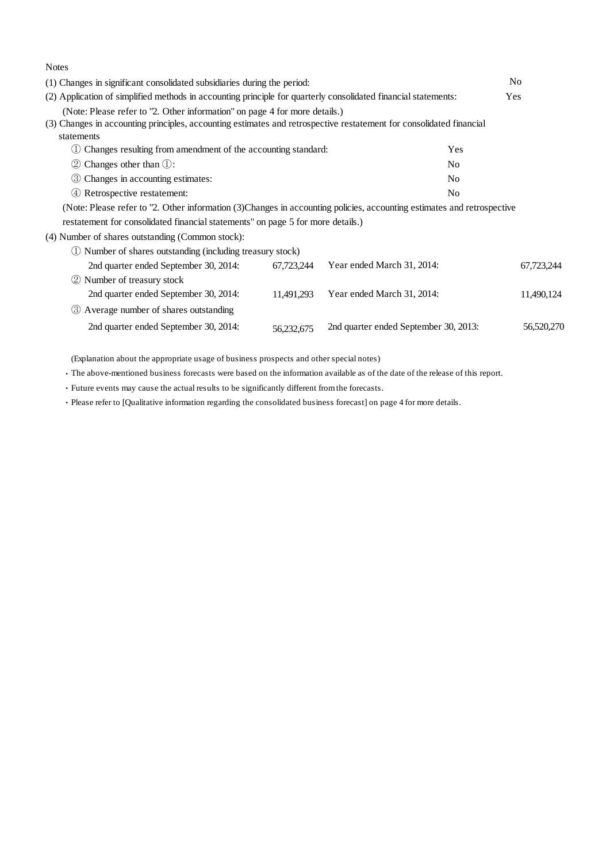| <b>Notes</b>                                                                                                                                                                                                    |            |                                       |                |            |
|-----------------------------------------------------------------------------------------------------------------------------------------------------------------------------------------------------------------|------------|---------------------------------------|----------------|------------|
| (1) Changes in significant consolidated subsidiaries during the period:                                                                                                                                         |            |                                       |                |            |
| (2) Application of simplified methods in accounting principle for quarterly consolidated financial statements:                                                                                                  |            |                                       | Yes            |            |
| (Note: Please refer to "2. Other information" on page 4 for more details.)<br>(3) Changes in accounting principles, accounting estimates and retrospective restatement for consolidated financial<br>statements |            |                                       |                |            |
| Changes resulting from amendment of the accounting standard:                                                                                                                                                    |            |                                       | Yes            |            |
| $\oslash$ Changes other than $\oslash$ :                                                                                                                                                                        |            |                                       | N <sub>0</sub> |            |
| Changes in accounting estimates:<br>(3)                                                                                                                                                                         |            |                                       | N <sub>0</sub> |            |
| 4) Retrospective restatement:                                                                                                                                                                                   |            |                                       | N <sub>0</sub> |            |
| (Note: Please refer to "2. Other information (3)Changes in accounting policies, accounting estimates and retrospective                                                                                          |            |                                       |                |            |
| restatement for consolidated financial statements" on page 5 for more details.)                                                                                                                                 |            |                                       |                |            |
| (4) Number of shares outstanding (Common stock):                                                                                                                                                                |            |                                       |                |            |
| 1) Number of shares outstanding (including treasury stock)                                                                                                                                                      |            |                                       |                |            |
| 2nd quarter ended September 30, 2014:                                                                                                                                                                           | 67,723,244 | Year ended March 31, 2014:            |                | 67,723,244 |
| (2) Number of treasury stock                                                                                                                                                                                    |            |                                       |                |            |
| 2nd quarter ended September 30, 2014:                                                                                                                                                                           | 11,491,293 | Year ended March 31, 2014:            |                | 11,490,124 |
| 3 Average number of shares outstanding                                                                                                                                                                          |            |                                       |                |            |
| 2nd quarter ended September 30, 2014:                                                                                                                                                                           | 56,232,675 | 2nd quarter ended September 30, 2013: |                | 56,520,270 |

(Explanation about the appropriate usage of business prospects and other special notes)

・The above-mentioned business forecasts were based on the information available as of the date of the release of this report.

・Future events may cause the actual results to be significantly different from the forecasts.

・Please refer to [Qualitative information regarding the consolidated business forecast] on page 4 for more details.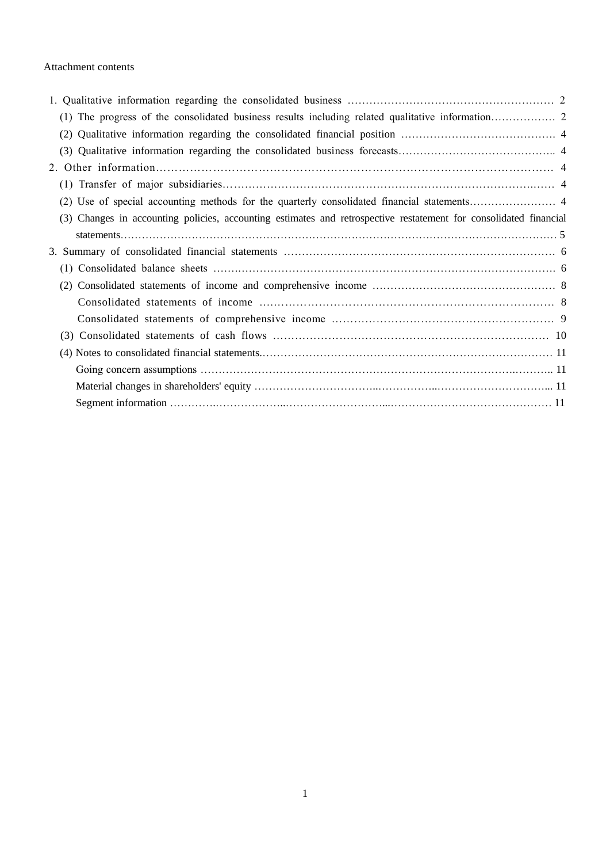### Attachment contents

| (2)                                                                                                               |  |
|-------------------------------------------------------------------------------------------------------------------|--|
|                                                                                                                   |  |
|                                                                                                                   |  |
|                                                                                                                   |  |
|                                                                                                                   |  |
| (3) Changes in accounting policies, accounting estimates and retrospective restatement for consolidated financial |  |
|                                                                                                                   |  |
|                                                                                                                   |  |
|                                                                                                                   |  |
|                                                                                                                   |  |
|                                                                                                                   |  |
|                                                                                                                   |  |
|                                                                                                                   |  |
|                                                                                                                   |  |
|                                                                                                                   |  |
|                                                                                                                   |  |
|                                                                                                                   |  |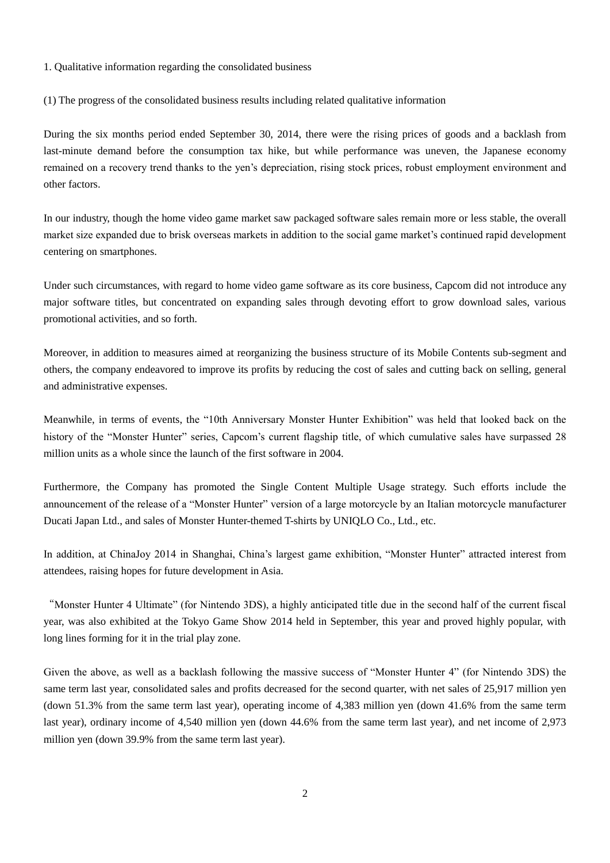- 1. Qualitative information regarding the consolidated business
- (1) The progress of the consolidated business results including related qualitative information

During the six months period ended September 30, 2014, there were the rising prices of goods and a backlash from last-minute demand before the consumption tax hike, but while performance was uneven, the Japanese economy remained on a recovery trend thanks to the yen's depreciation, rising stock prices, robust employment environment and other factors.

In our industry, though the home video game market saw packaged software sales remain more or less stable, the overall market size expanded due to brisk overseas markets in addition to the social game market's continued rapid development centering on smartphones.

Under such circumstances, with regard to home video game software as its core business, Capcom did not introduce any major software titles, but concentrated on expanding sales through devoting effort to grow download sales, various promotional activities, and so forth.

Moreover, in addition to measures aimed at reorganizing the business structure of its Mobile Contents sub-segment and others, the company endeavored to improve its profits by reducing the cost of sales and cutting back on selling, general and administrative expenses.

Meanwhile, in terms of events, the "10th Anniversary Monster Hunter Exhibition" was held that looked back on the history of the "Monster Hunter" series, Capcom's current flagship title, of which cumulative sales have surpassed 28 million units as a whole since the launch of the first software in 2004.

Furthermore, the Company has promoted the Single Content Multiple Usage strategy. Such efforts include the announcement of the release of a "Monster Hunter" version of a large motorcycle by an Italian motorcycle manufacturer Ducati Japan Ltd., and sales of Monster Hunter-themed T-shirts by UNIQLO Co., Ltd., etc.

In addition, at ChinaJoy 2014 in Shanghai, China's largest game exhibition, "Monster Hunter" attracted interest from attendees, raising hopes for future development in Asia.

"Monster Hunter 4 Ultimate" (for Nintendo 3DS), a highly anticipated title due in the second half of the current fiscal year, was also exhibited at the Tokyo Game Show 2014 held in September, this year and proved highly popular, with long lines forming for it in the trial play zone.

Given the above, as well as a backlash following the massive success of "Monster Hunter 4" (for Nintendo 3DS) the same term last year, consolidated sales and profits decreased for the second quarter, with net sales of 25,917 million yen (down 51.3% from the same term last year), operating income of 4,383 million yen (down 41.6% from the same term last year), ordinary income of 4,540 million yen (down 44.6% from the same term last year), and net income of 2,973 million yen (down 39.9% from the same term last year).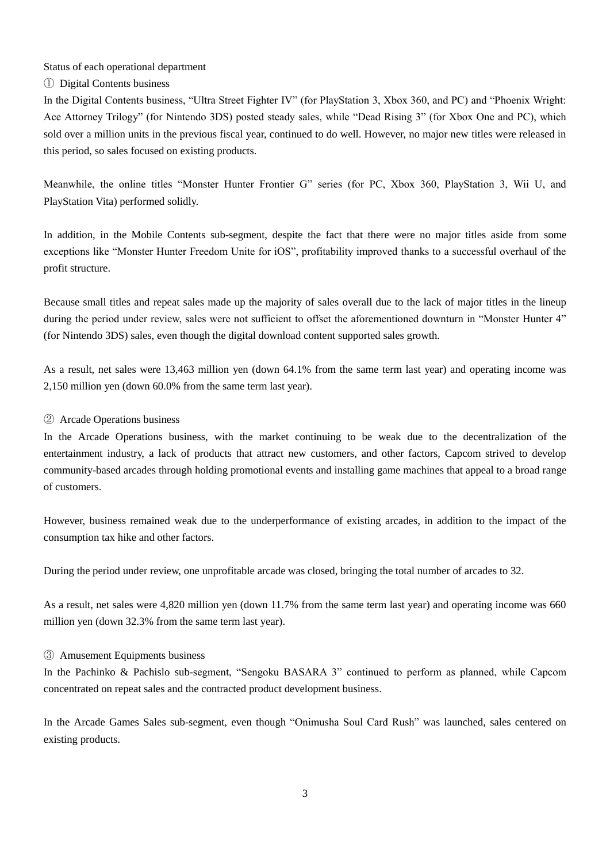Status of each operational department

① Digital Contents business

In the Digital Contents business, "Ultra Street Fighter IV" (for PlayStation 3, Xbox 360, and PC) and "Phoenix Wright: Ace Attorney Trilogy" (for Nintendo 3DS) posted steady sales, while "Dead Rising 3" (for Xbox One and PC), which sold over a million units in the previous fiscal year, continued to do well. However, no major new titles were released in this period, so sales focused on existing products.

Meanwhile, the online titles "Monster Hunter Frontier G" series (for PC, Xbox 360, PlayStation 3, Wii U, and PlayStation Vita) performed solidly.

In addition, in the Mobile Contents sub-segment, despite the fact that there were no major titles aside from some exceptions like "Monster Hunter Freedom Unite for iOS", profitability improved thanks to a successful overhaul of the profit structure.

Because small titles and repeat sales made up the majority of sales overall due to the lack of major titles in the lineup during the period under review, sales were not sufficient to offset the aforementioned downturn in "Monster Hunter 4" (for Nintendo 3DS) sales, even though the digital download content supported sales growth.

As a result, net sales were 13,463 million yen (down 64.1% from the same term last year) and operating income was 2,150 million yen (down 60.0% from the same term last year).

# ② Arcade Operations business

In the Arcade Operations business, with the market continuing to be weak due to the decentralization of the entertainment industry, a lack of products that attract new customers, and other factors, Capcom strived to develop community-based arcades through holding promotional events and installing game machines that appeal to a broad range of customers.

However, business remained weak due to the underperformance of existing arcades, in addition to the impact of the consumption tax hike and other factors.

During the period under review, one unprofitable arcade was closed, bringing the total number of arcades to 32.

As a result, net sales were 4,820 million yen (down 11.7% from the same term last year) and operating income was 660 million yen (down 32.3% from the same term last year).

# ③ Amusement Equipments business

In the Pachinko & Pachislo sub-segment, "Sengoku BASARA 3" continued to perform as planned, while Capcom concentrated on repeat sales and the contracted product development business.

In the Arcade Games Sales sub-segment, even though "Onimusha Soul Card Rush" was launched, sales centered on existing products.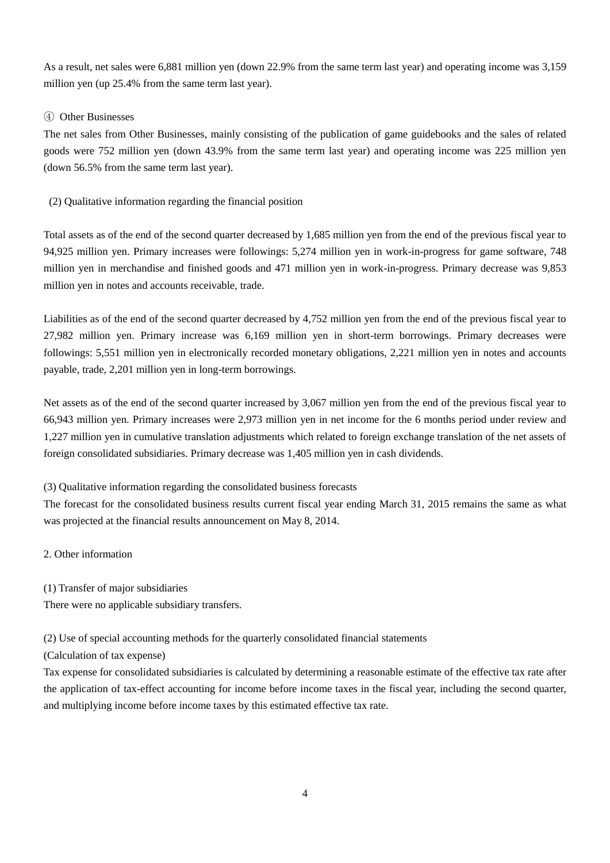As a result, net sales were 6,881 million yen (down 22.9% from the same term last year) and operating income was 3,159 million yen (up 25.4% from the same term last year).

### ④ Other Businesses

The net sales from Other Businesses, mainly consisting of the publication of game guidebooks and the sales of related goods were 752 million yen (down 43.9% from the same term last year) and operating income was 225 million yen (down 56.5% from the same term last year).

#### (2) Qualitative information regarding the financial position

Total assets as of the end of the second quarter decreased by 1,685 million yen from the end of the previous fiscal year to 94,925 million yen. Primary increases were followings: 5,274 million yen in work-in-progress for game software, 748 million yen in merchandise and finished goods and 471 million yen in work-in-progress. Primary decrease was 9,853 million yen in notes and accounts receivable, trade.

Liabilities as of the end of the second quarter decreased by 4,752 million yen from the end of the previous fiscal year to 27,982 million yen. Primary increase was 6,169 million yen in short-term borrowings. Primary decreases were followings: 5,551 million yen in electronically recorded monetary obligations, 2,221 million yen in notes and accounts payable, trade, 2,201 million yen in long-term borrowings.

Net assets as of the end of the second quarter increased by 3,067 million yen from the end of the previous fiscal year to 66,943 million yen. Primary increases were 2,973 million yen in net income for the 6 months period under review and 1,227 million yen in cumulative translation adjustments which related to foreign exchange translation of the net assets of foreign consolidated subsidiaries. Primary decrease was 1,405 million yen in cash dividends.

(3) Qualitative information regarding the consolidated business forecasts

The forecast for the consolidated business results current fiscal year ending March 31, 2015 remains the same as what was projected at the financial results announcement on May 8, 2014.

2. Other information

(1) Transfer of major subsidiaries

There were no applicable subsidiary transfers.

(2) Use of special accounting methods for the quarterly consolidated financial statements

(Calculation of tax expense)

Tax expense for consolidated subsidiaries is calculated by determining a reasonable estimate of the effective tax rate after the application of tax-effect accounting for income before income taxes in the fiscal year, including the second quarter, and multiplying income before income taxes by this estimated effective tax rate.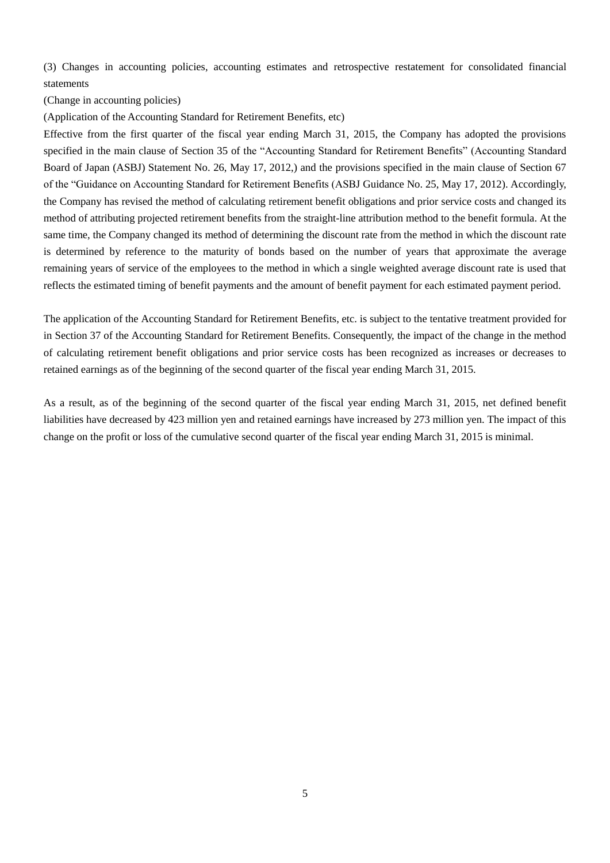(3) Changes in accounting policies, accounting estimates and retrospective restatement for consolidated financial statements

(Change in accounting policies)

(Application of the Accounting Standard for Retirement Benefits, etc)

Effective from the first quarter of the fiscal year ending March 31, 2015, the Company has adopted the provisions specified in the main clause of Section 35 of the "Accounting Standard for Retirement Benefits" (Accounting Standard Board of Japan (ASBJ) Statement No. 26, May 17, 2012,) and the provisions specified in the main clause of Section 67 of the "Guidance on Accounting Standard for Retirement Benefits (ASBJ Guidance No. 25, May 17, 2012). Accordingly, the Company has revised the method of calculating retirement benefit obligations and prior service costs and changed its method of attributing projected retirement benefits from the straight-line attribution method to the benefit formula. At the same time, the Company changed its method of determining the discount rate from the method in which the discount rate is determined by reference to the maturity of bonds based on the number of years that approximate the average remaining years of service of the employees to the method in which a single weighted average discount rate is used that reflects the estimated timing of benefit payments and the amount of benefit payment for each estimated payment period.

The application of the Accounting Standard for Retirement Benefits, etc. is subject to the tentative treatment provided for in Section 37 of the Accounting Standard for Retirement Benefits. Consequently, the impact of the change in the method of calculating retirement benefit obligations and prior service costs has been recognized as increases or decreases to retained earnings as of the beginning of the second quarter of the fiscal year ending March 31, 2015.

As a result, as of the beginning of the second quarter of the fiscal year ending March 31, 2015, net defined benefit liabilities have decreased by 423 million yen and retained earnings have increased by 273 million yen. The impact of this change on the profit or loss of the cumulative second quarter of the fiscal year ending March 31, 2015 is minimal.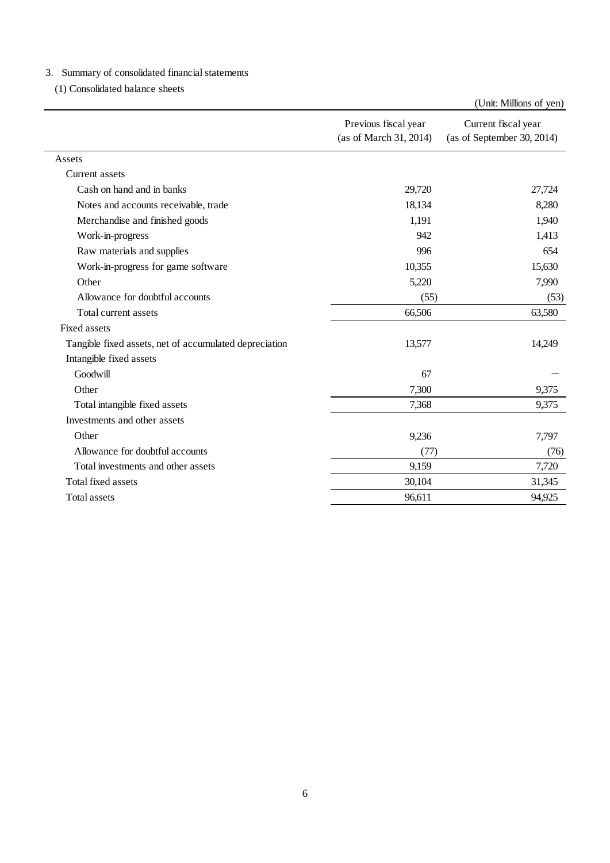#### 3.Summary of consolidated financial statements

(1) Consolidated balance sheets

|                                                        |                                                | (Unit: Millions of yen)                           |
|--------------------------------------------------------|------------------------------------------------|---------------------------------------------------|
|                                                        | Previous fiscal year<br>(as of March 31, 2014) | Current fiscal year<br>(as of September 30, 2014) |
| Assets                                                 |                                                |                                                   |
| Current assets                                         |                                                |                                                   |
| Cash on hand and in banks                              | 29,720                                         | 27,724                                            |
| Notes and accounts receivable, trade                   | 18,134                                         | 8,280                                             |
| Merchandise and finished goods                         | 1,191                                          | 1,940                                             |
| Work-in-progress                                       | 942                                            | 1,413                                             |
| Raw materials and supplies                             | 996                                            | 654                                               |
| Work-in-progress for game software                     | 10,355                                         | 15,630                                            |
| Other                                                  | 5,220                                          | 7,990                                             |
| Allowance for doubtful accounts                        | (55)                                           | (53)                                              |
| Total current assets                                   | 66,506                                         | 63,580                                            |
| Fixed assets                                           |                                                |                                                   |
| Tangible fixed assets, net of accumulated depreciation | 13,577                                         | 14,249                                            |
| Intangible fixed assets                                |                                                |                                                   |
| Goodwill                                               | 67                                             |                                                   |
| Other                                                  | 7,300                                          | 9,375                                             |
| Total intangible fixed assets                          | 7,368                                          | 9,375                                             |
| Investments and other assets                           |                                                |                                                   |
| Other                                                  | 9,236                                          | 7,797                                             |
| Allowance for doubtful accounts                        | (77)                                           | (76)                                              |
| Total investments and other assets                     | 9,159                                          | 7,720                                             |
| <b>Total fixed assets</b>                              | 30,104                                         | 31,345                                            |
| <b>Total assets</b>                                    | 96,611                                         | 94,925                                            |
|                                                        |                                                |                                                   |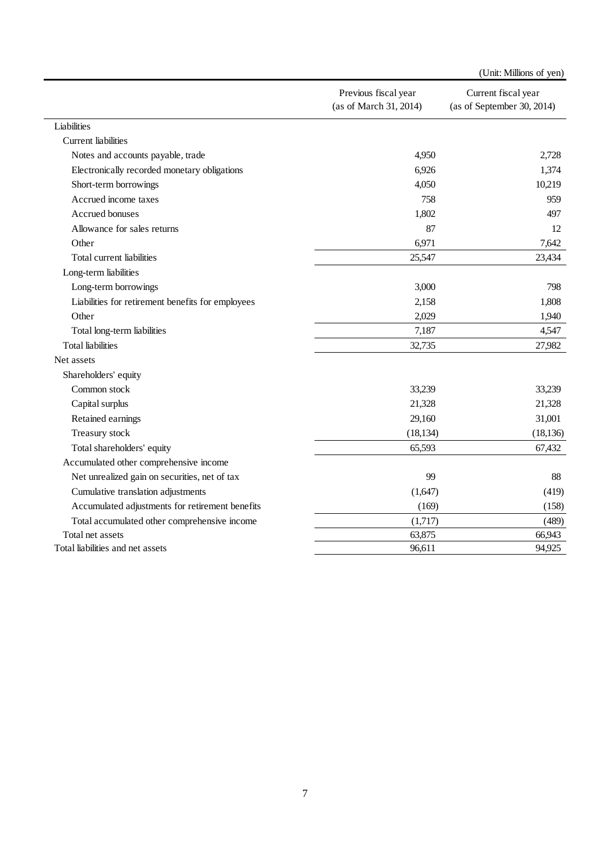|                                                   |                                                | (Unit: Millions of yen)                           |
|---------------------------------------------------|------------------------------------------------|---------------------------------------------------|
|                                                   | Previous fiscal year<br>(as of March 31, 2014) | Current fiscal year<br>(as of September 30, 2014) |
| Liabilities                                       |                                                |                                                   |
| Current liabilities                               |                                                |                                                   |
| Notes and accounts payable, trade                 | 4,950                                          | 2,728                                             |
| Electronically recorded monetary obligations      | 6,926                                          | 1,374                                             |
| Short-term borrowings                             | 4,050                                          | 10,219                                            |
| Accrued income taxes                              | 758                                            | 959                                               |
| Accrued bonuses                                   | 1,802                                          | 497                                               |
| Allowance for sales returns                       | 87                                             | 12                                                |
| Other                                             | 6,971                                          | 7,642                                             |
| Total current liabilities                         | 25,547                                         | 23,434                                            |
| Long-term liabilities                             |                                                |                                                   |
| Long-term borrowings                              | 3,000                                          | 798                                               |
| Liabilities for retirement benefits for employees | 2,158                                          | 1,808                                             |
| Other                                             | 2,029                                          | 1,940                                             |
| Total long-term liabilities                       | 7,187                                          | 4,547                                             |
| <b>Total liabilities</b>                          | 32,735                                         | 27,982                                            |
| Net assets                                        |                                                |                                                   |
| Shareholders' equity                              |                                                |                                                   |
| Common stock                                      | 33,239                                         | 33,239                                            |
| Capital surplus                                   | 21,328                                         | 21,328                                            |
| Retained earnings                                 | 29,160                                         | 31,001                                            |
| Treasury stock                                    | (18, 134)                                      | (18, 136)                                         |
| Total shareholders' equity                        | 65,593                                         | 67,432                                            |
| Accumulated other comprehensive income            |                                                |                                                   |
| Net unrealized gain on securities, net of tax     | 99                                             | 88                                                |
| Cumulative translation adjustments                | (1,647)                                        | (419)                                             |
| Accumulated adjustments for retirement benefits   | (169)                                          | (158)                                             |
| Total accumulated other comprehensive income      | (1,717)                                        | (489)                                             |
| Total net assets                                  | 63,875                                         | 66,943                                            |
| Total liabilities and net assets                  | 96,611                                         | 94,925                                            |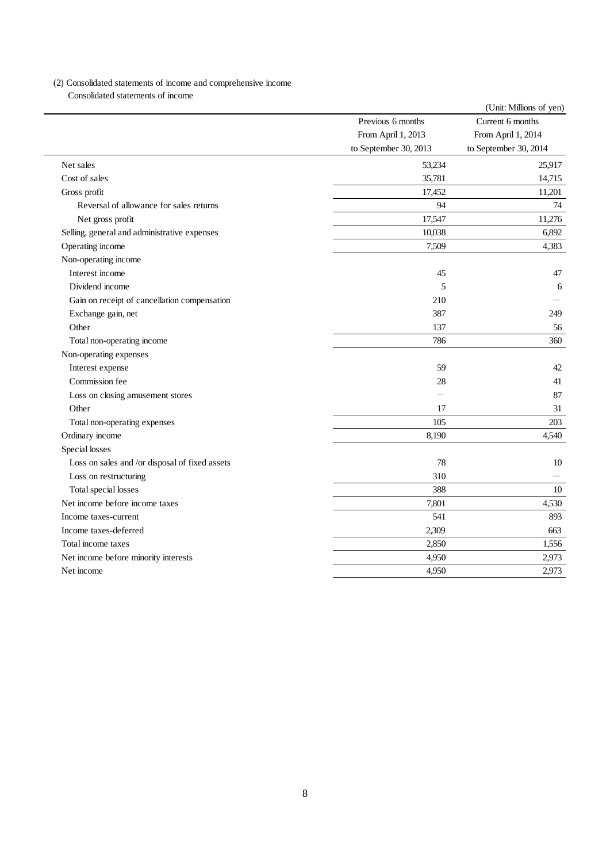#### (2) Consolidated statements of income and comprehensive income Consolidated statements of income

|                                                |                       | (Unit: Millions of yen) |
|------------------------------------------------|-----------------------|-------------------------|
|                                                | Previous 6 months     | Current 6 months        |
|                                                | From April 1, 2013    | From April 1, 2014      |
|                                                | to September 30, 2013 | to September 30, 2014   |
| Net sales                                      | 53,234                | 25,917                  |
| Cost of sales                                  | 35,781                | 14,715                  |
| Gross profit                                   | 17,452                | 11,201                  |
| Reversal of allowance for sales returns        | 94                    | 74                      |
| Net gross profit                               | 17,547                | 11,276                  |
| Selling, general and administrative expenses   | 10,038                | 6,892                   |
| Operating income                               | 7,509                 | 4,383                   |
| Non-operating income                           |                       |                         |
| Interest income                                | 45                    | 47                      |
| Dividend income                                | 5                     | 6                       |
| Gain on receipt of cancellation compensation   | 210                   |                         |
| Exchange gain, net                             | 387                   | 249                     |
| Other                                          | 137                   | 56                      |
| Total non-operating income                     | 786                   | 360                     |
| Non-operating expenses                         |                       |                         |
| Interest expense                               | 59                    | 42                      |
| Commission fee                                 | 28                    | 41                      |
| Loss on closing amusement stores               |                       | 87                      |
| Other                                          | 17                    | 31                      |
| Total non-operating expenses                   | 105                   | 203                     |
| Ordinary income                                | 8,190                 | 4,540                   |
| Special losses                                 |                       |                         |
| Loss on sales and /or disposal of fixed assets | 78                    | 10                      |
| Loss on restructuring                          | 310                   |                         |
| Total special losses                           | 388                   | 10                      |
| Net income before income taxes                 | 7,801                 | 4,530                   |
| Income taxes-current                           | 541                   | 893                     |
| Income taxes-deferred                          | 2,309                 | 663                     |
| Total income taxes                             | 2,850                 | 1,556                   |
| Net income before minority interests           | 4,950                 | 2,973                   |
| Net income                                     | 4,950                 | 2,973                   |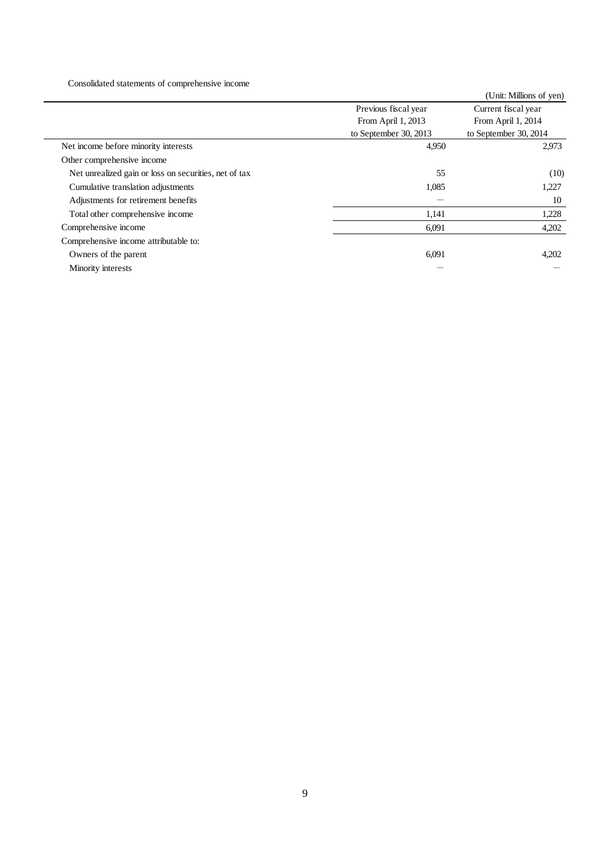Consolidated statements of comprehensive income

|                                                       |                       | (Unit: Millions of yen) |
|-------------------------------------------------------|-----------------------|-------------------------|
|                                                       | Previous fiscal year  | Current fiscal year     |
|                                                       | From April 1, 2013    | From April 1, 2014      |
|                                                       | to September 30, 2013 | to September 30, 2014   |
| Net income before minority interests                  | 4,950                 | 2,973                   |
| Other comprehensive income                            |                       |                         |
| Net unrealized gain or loss on securities, net of tax | 55                    | (10)                    |
| Cumulative translation adjustments                    | 1,085                 | 1,227                   |
| Adjustments for retirement benefits                   |                       | 10                      |
| Total other comprehensive income                      | 1,141                 | 1,228                   |
| Comprehensive income                                  | 6,091                 | 4,202                   |
| Comprehensive income attributable to:                 |                       |                         |
| Owners of the parent                                  | 6,091                 | 4,202                   |
| Minority interests                                    |                       |                         |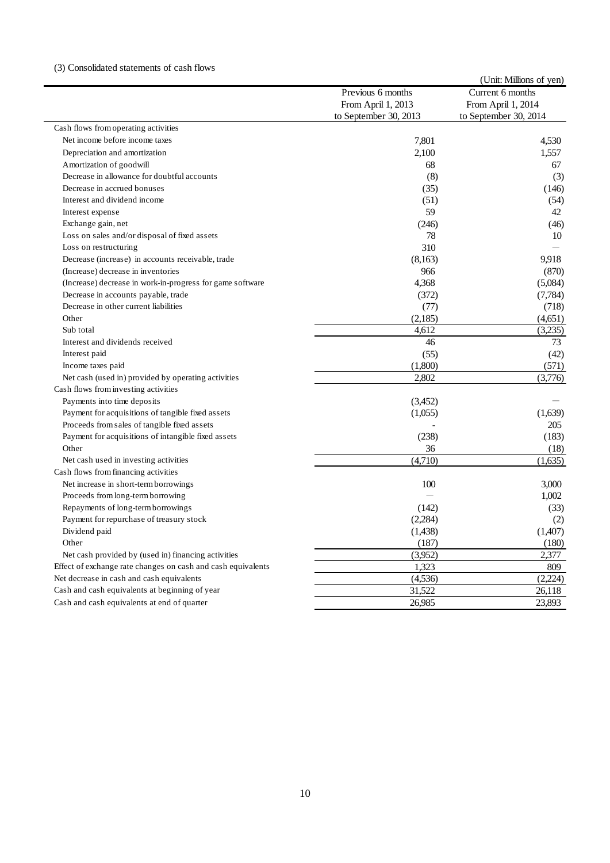|                                                              |                       | (Unit: Millions of yen) |
|--------------------------------------------------------------|-----------------------|-------------------------|
|                                                              | Previous 6 months     | Current 6 months        |
|                                                              | From April 1, 2013    | From April 1, 2014      |
|                                                              | to September 30, 2013 | to September 30, 2014   |
| Cash flows from operating activities                         |                       |                         |
| Net income before income taxes                               | 7,801                 | 4,530                   |
| Depreciation and amortization                                | 2,100                 | 1,557                   |
| Amortization of goodwill                                     | 68                    | 67                      |
| Decrease in allowance for doubtful accounts                  | (8)                   | (3)                     |
| Decrease in accrued bonuses                                  | (35)                  | (146)                   |
| Interest and dividend income                                 | (51)                  | (54)                    |
| Interest expense                                             | 59                    | 42                      |
| Exchange gain, net                                           | (246)                 | (46)                    |
| Loss on sales and/or disposal of fixed assets                | 78                    | 10                      |
| Loss on restructuring                                        | 310                   |                         |
| Decrease (increase) in accounts receivable, trade            | (8,163)               | 9,918                   |
| (Increase) decrease in inventories                           | 966                   | (870)                   |
| (Increase) decrease in work-in-progress for game software    | 4,368                 | (5,084)                 |
| Decrease in accounts payable, trade                          | (372)                 | (7, 784)                |
| Decrease in other current liabilities                        | (77)                  | (718)                   |
| Other                                                        | (2,185)               | (4,651)                 |
| Sub total                                                    | 4,612                 | (3,235)                 |
| Interest and dividends received                              | 46                    | 73                      |
| Interest paid                                                | (55)                  | (42)                    |
| Income taxes paid                                            | (1,800)               | (571)                   |
| Net cash (used in) provided by operating activities          | 2,802                 | (3,776)                 |
| Cash flows from investing activities                         |                       |                         |
| Payments into time deposits                                  | (3,452)               |                         |
| Payment for acquisitions of tangible fixed assets            | (1,055)               | (1,639)                 |
| Proceeds from sales of tangible fixed assets                 |                       | 205                     |
| Payment for acquisitions of intangible fixed assets          | (238)                 | (183)                   |
| Other                                                        | 36                    | (18)                    |
| Net cash used in investing activities                        | (4,710)               | (1,635)                 |
| Cash flows from financing activities                         |                       |                         |
| Net increase in short-term borrowings                        | 100                   | 3,000                   |
| Proceeds from long-term borrowing                            |                       | 1,002                   |
| Repayments of long-term borrowings                           | (142)                 | (33)                    |
| Payment for repurchase of treasury stock                     | (2, 284)              | (2)                     |
| Dividend paid                                                | (1, 438)              | (1,407)                 |
| Other                                                        | (187)                 | (180)                   |
| Net cash provided by (used in) financing activities          | (3,952)               | 2,377                   |
| Effect of exchange rate changes on cash and cash equivalents | 1,323                 | 809                     |
| Net decrease in cash and cash equivalents                    | (4,536)               | (2,224)                 |
| Cash and cash equivalents at beginning of year               | $\overline{31,522}$   | 26,118                  |
|                                                              |                       |                         |
| Cash and cash equivalents at end of quarter                  | 26,985                | 23,893                  |